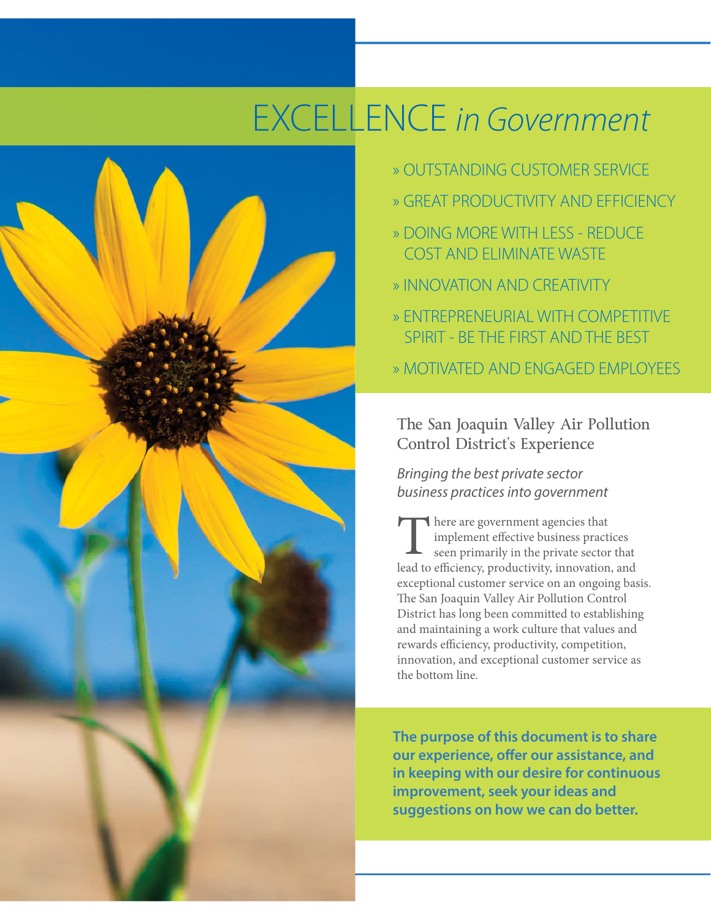# EXCELLENCE *in Government*



- » OUTSTANDING CUSTOMER SERVICE
- » GREAT PRODUCTIVITY AND EFFICIENCY
- » DOING MORE WITH LESS REDUCE COST AND ELIMINATE WASTE
- » INNOVATION AND CREATIVITY
- » ENTREPRENEURIAL WITH COMPETITIVE SPIRIT ‐ BE THE FIRST AND THE BEST
- » MOTIVATED AND ENGAGED EMPLOYEES

The San Joaquin Valley Air Pollution Control District's Experience

*Bringing the best private sector business practices into government*

**There are government agencies that** implement effective business practices seen primarily in the private sector that There are government agencies that<br>
implement effective business practices<br>
seen primarily in the private sector that<br>
lead to efficiency, productivity, innovation, and exceptional customer service on an ongoing basis. The San Joaquin Valley Air Pollution Control District has long been committed to establishing and maintaining a work culture that values and rewards efficiency, productivity, competition, innovation, and exceptional customer service as the bottom line.

**The purpose of this document is to share our experience, offer our assistance, and in keeping with our desire for continuous improvement, seek your ideas and suggestions on how we can do better.**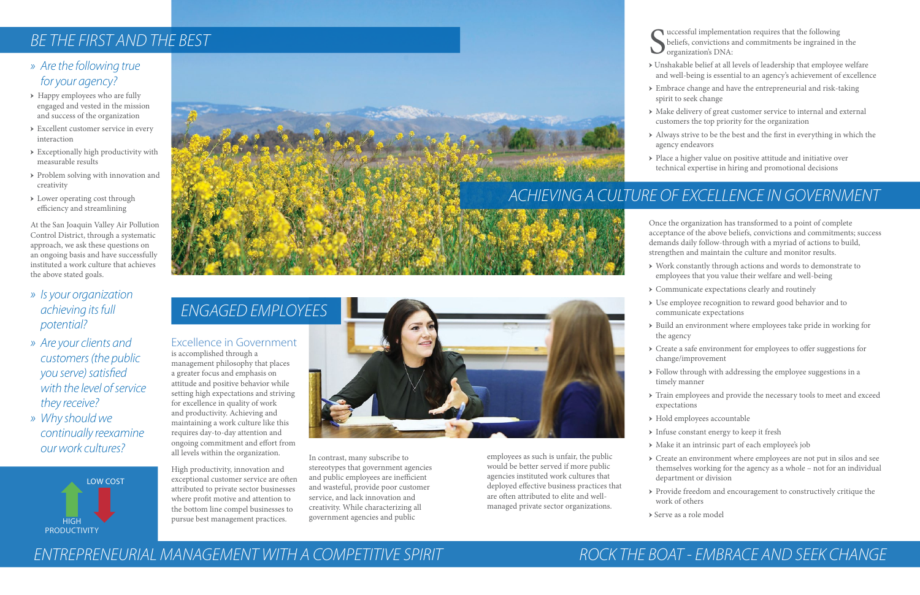### *» Are the following true for your agency?*

- → Happy employees who are fully engaged and vested in the mission and success of the organization
- → Excellent customer service in every interaction
- → Exceptionally high productivity with measurable results
- → Problem solving with innovation and creativity
- → Lower operating cost through efficiency and streamlining

At the San Joaquin Valley Air Pollution Control District, through a systematic approach, we ask these questions on an ongoing basis and have successfully instituted a work culture that achieves the above stated goals.

- *» Is your organization achieving its full potential?*
- *» Are your clients and customers (the public you serve) satisfied with the level of service they receive?*
- *» Why should we continually reexamine our work cultures?*
- uccessful implementation requires that the following beliefs, convictions and commitments be ingrained in the organization's DNA:
- → Unshakable belief at all levels of leadership that employee welfare and well-being is essential to an agency's achievement of excellence
- $\rightarrow$  Embrace change and have the entrepreneurial and risk-taking spirit to seek change
- → Make delivery of great customer service to internal and external customers the top priority for the organization
- → Always strive to be the best and the first in everything in which the agency endeavors
- → Place a higher value on positive attitude and initiative over technical expertise in hiring and promotional decisions

- Once the organization has transformed to a point of complete acceptance of the above beliefs, convictions and commitments; success demands daily follow-through with a myriad of actions to build, strengthen and maintain the culture and monitor results.
- → Work constantly through actions and words to demonstrate to employees that you value their welfare and well-being
- → Communicate expectations clearly and routinely
- → Build an environment where employees take pride in working for
- → Create a safe environment for employees to offer suggestions for change/improvement
- → Hold employees accountable
- → Infuse constant energy to keep it fresh
- 
- 
- → Use employee recognition to reward good behavior and to communicate expectations
- the agency
- 
- $\rightarrow$  Follow through with addressing the employee suggestions in a timely manner
- → Train employees and provide the necessary tools to meet and exceed expectations
- 
- 
- → Make it an intrinsic part of each employee's job
- → Create an environment where employees are not put in silos and see themselves working for the agency as a whole – not for an individual department or division
	- → Provide freedom and encouragement to constructively critique the work of others
	- → Serve as a role model

S

## *ACHIEVING A CULTURE OF EXCELLENCE IN GOVERNMENT*

#### Excellence in Government

is accomplished through a management philosophy that places a greater focus and emphasis on attitude and positive behavior while setting high expectations and striving for excellence in quality of work and productivity. Achieving and maintaining a work culture like this requires day-to-day attention and ongoing commitment and effort from all levels within the organization.

High productivity, innovation and exceptional customer service are often attributed to private sector businesses where profit motive and attention to the bottom line compel businesses to pursue best management practices.



## *BE THE FIRST AND THE BEST*

In contrast, many subscribe to stereotypes that government agencies and public employees are inefficient and wasteful, provide poor customer service, and lack innovation and creativity. While characterizing all government agencies and public

employees as such is unfair, the public would be better served if more public agencies instituted work cultures that deployed effective business practices that are often attributed to elite and wellmanaged private sector organizations.

## *ENGAGED EMPLOYEES*





## *ROCK THE BOAT - EMBRACE AND SEEK CHANGE*